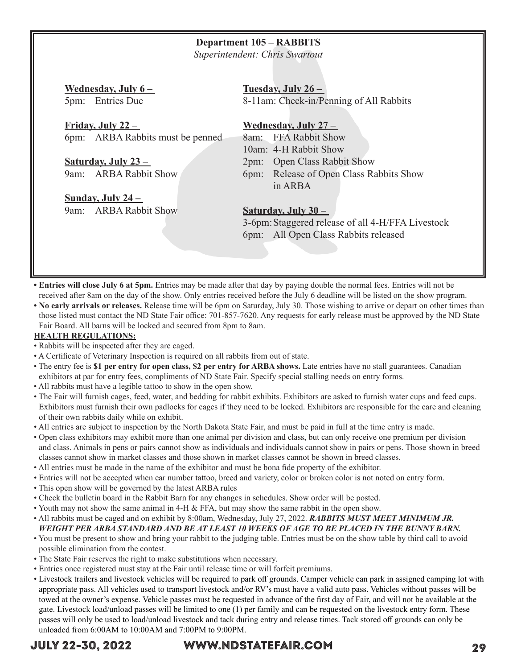### **Department 105 – RABBITS**

*Superintendent: Chris Swartout*

**Wednesday, July 6 –**  5pm: Entries Due

**Friday, July 22 –**  6pm: ARBA Rabbits must be penned

**Saturday, July 23 –**  9am: ARBA Rabbit Show

**Sunday, July 24 –**  9am: ARBA Rabbit Show **Tuesday, July 26 –**  8-11am: Check-in/Penning of All Rabbits

### **Wednesday, July 27 –**

8am: FFA Rabbit Show 10am: 4-H Rabbit Show 2pm: Open Class Rabbit Show

6pm: Release of Open Class Rabbits Show in ARBA

### **Saturday, July 30 –**

3-6pm:Staggered release of all 4-H/FFA Livestock 6pm: All Open Class Rabbits released

**• Entries will close July 6 at 5pm.** Entries may be made after that day by paying double the normal fees. Entries will not be received after 8am on the day of the show. Only entries received before the July 6 deadline will be listed on the show program.

**• No early arrivals or releases.** Release time will be 6pm on Saturday, July 30. Those wishing to arrive or depart on other times than those listed must contact the ND State Fair office: 701-857-7620. Any requests for early release must be approved by the ND State Fair Board. All barns will be locked and secured from 8pm to 8am.

### **HEALTH REGULATIONS:**

- Rabbits will be inspected after they are caged.
- A Certificate of Veterinary Inspection is required on all rabbits from out of state.
- The entry fee is **\$1 per entry for open class, \$2 per entry for ARBA shows.** Late entries have no stall guarantees. Canadian exhibitors at par for entry fees, compliments of ND State Fair. Specify special stalling needs on entry forms.
- All rabbits must have a legible tattoo to show in the open show.
- The Fair will furnish cages, feed, water, and bedding for rabbit exhibits. Exhibitors are asked to furnish water cups and feed cups. Exhibitors must furnish their own padlocks for cages if they need to be locked. Exhibitors are responsible for the care and cleaning of their own rabbits daily while on exhibit.
- All entries are subject to inspection by the North Dakota State Fair, and must be paid in full at the time entry is made.
- Open class exhibitors may exhibit more than one animal per division and class, but can only receive one premium per division and class. Animals in pens or pairs cannot show as individuals and individuals cannot show in pairs or pens. Those shown in breed classes cannot show in market classes and those shown in market classes cannot be shown in breed classes.
- All entries must be made in the name of the exhibitor and must be bona fide property of the exhibitor.
- Entries will not be accepted when ear number tattoo, breed and variety, color or broken color is not noted on entry form.
- This open show will be governed by the latest ARBA rules
- Check the bulletin board in the Rabbit Barn for any changes in schedules. Show order will be posted.
- Youth may not show the same animal in 4-H & FFA, but may show the same rabbit in the open show.

### • All rabbits must be caged and on exhibit by 8:00am, Wednesday, July 27, 2022. *RABBITS MUST MEET MINIMUM JR.*

### *WEIGHT PER ARBA STANDARD AND BE AT LEAST 10 WEEKS OF AGE TO BE PLACED IN THE BUNNY BARN.*

- You must be present to show and bring your rabbit to the judging table. Entries must be on the show table by third call to avoid possible elimination from the contest.
- The State Fair reserves the right to make substitutions when necessary.
- Entries once registered must stay at the Fair until release time or will forfeit premiums.
- Livestock trailers and livestock vehicles will be required to park off grounds. Camper vehicle can park in assigned camping lot with appropriate pass. All vehicles used to transport livestock and/or RV's must have a valid auto pass. Vehicles without passes will be towed at the owner's expense. Vehicle passes must be requested in advance of the first day of Fair, and will not be available at the gate. Livestock load/unload passes will be limited to one (1) per family and can be requested on the livestock entry form. These passes will only be used to load/unload livestock and tack during entry and release times. Tack stored off grounds can only be unloaded from 6:00AM to 10:00AM and 7:00PM to 9:00PM.

# JULY 22-30, 2022 WWW.NDSTATEFAIR.COM 29